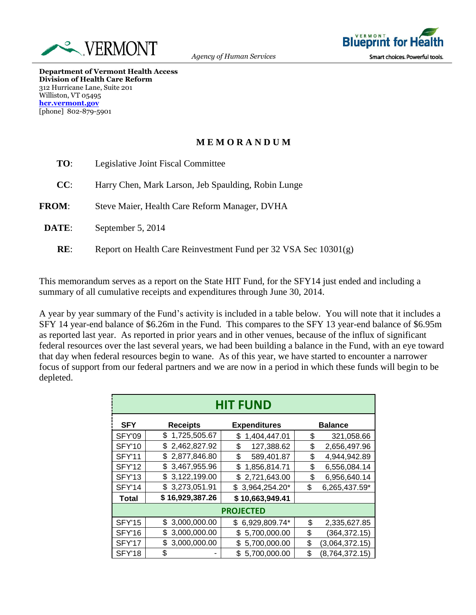



**Department of Vermont Health Access Division of Health Care Reform** 312 Hurricane Lane, Suite 201 Williston, VT 05495 **[hcr.vermont.gov](http://www.ovha.vermont.gov/)** [phone] 802-879-5901

## **M E M O R A N D U M**

| TO:          | Legislative Joint Fiscal Committee                              |  |
|--------------|-----------------------------------------------------------------|--|
| CC:          | Harry Chen, Mark Larson, Jeb Spaulding, Robin Lunge             |  |
| <b>FROM:</b> | Steve Maier, Health Care Reform Manager, DVHA                   |  |
| DATE:        | September 5, 2014                                               |  |
| RE:          | Report on Health Care Reinvestment Fund per 32 VSA Sec 10301(g) |  |

This memorandum serves as a report on the State HIT Fund, for the SFY14 just ended and including a summary of all cumulative receipts and expenditures through June 30, 2014.

A year by year summary of the Fund's activity is included in a table below. You will note that it includes a SFY 14 year-end balance of \$6.26m in the Fund. This compares to the SFY 13 year-end balance of \$6.95m as reported last year. As reported in prior years and in other venues, because of the influx of significant federal resources over the last several years, we had been building a balance in the Fund, with an eye toward that day when federal resources begin to wane. As of this year, we have started to encounter a narrower focus of support from our federal partners and we are now in a period in which these funds will begin to be depleted.

| <b>HIT FUND</b>  |                    |                     |                        |  |
|------------------|--------------------|---------------------|------------------------|--|
| <b>SFY</b>       | <b>Receipts</b>    | <b>Expenditures</b> | <b>Balance</b>         |  |
| SFY'09           | \$1,725,505.67     | 1,404,447.01<br>\$  | \$<br>321,058.66       |  |
| SFY'10           | \$2,462,827.92     | \$<br>127,388.62    | \$<br>2,656,497.96     |  |
| <b>SFY'11</b>    | \$2,877,846.80     | \$<br>589,401.87    | 4,944,942.89<br>\$     |  |
| SFY'12           | \$3,467,955.96     | \$<br>1,856,814.71  | \$<br>6,556,084.14     |  |
| SFY'13           | \$3,122,199.00     | 2,721,643.00<br>\$  | \$<br>6,956,640.14     |  |
| <b>SFY'14</b>    | \$3,273,051.91     | 3,964,254.20*<br>\$ | \$<br>6,265,437.59*    |  |
| <b>Total</b>     | \$16,929,387.26    | \$10,663,949.41     |                        |  |
| <b>PROJECTED</b> |                    |                     |                        |  |
| <b>SFY'15</b>    | \$3,000,000.00     | 6,929,809.74*<br>\$ | \$<br>2,335,627.85     |  |
| <b>SFY'16</b>    | 3,000,000.00<br>\$ | 5,700,000.00<br>\$  | \$<br>(364, 372.15)    |  |
| <b>SFY'17</b>    | 3,000,000.00       | 5,700,000.00<br>\$  | \$<br>(3,064,372.15)   |  |
| <b>SFY'18</b>    | \$                 | 5,700,000.00<br>\$  | \$<br>(8, 764, 372.15) |  |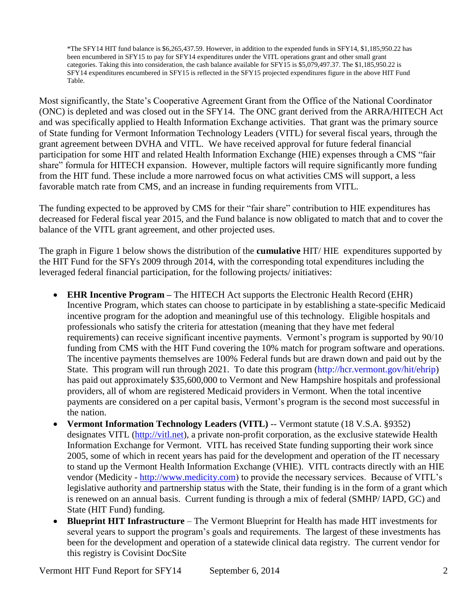\*The SFY14 HIT fund balance is \$6,265,437.59. However, in addition to the expended funds in SFY14, \$1,185,950.22 has been encumbered in SFY15 to pay for SFY14 expenditures under the VITL operations grant and other small grant categories. Taking this into consideration, the cash balance available for SFY15 is \$5,079,497.37. The \$1,185,950.22 is SFY14 expenditures encumbered in SFY15 is reflected in the SFY15 projected expenditures figure in the above HIT Fund Table.

Most significantly, the State's Cooperative Agreement Grant from the Office of the National Coordinator (ONC) is depleted and was closed out in the SFY14. The ONC grant derived from the ARRA/HITECH Act and was specifically applied to Health Information Exchange activities. That grant was the primary source of State funding for Vermont Information Technology Leaders (VITL) for several fiscal years, through the grant agreement between DVHA and VITL. We have received approval for future federal financial participation for some HIT and related Health Information Exchange (HIE) expenses through a CMS "fair share" formula for HITECH expansion. However, multiple factors will require significantly more funding from the HIT fund. These include a more narrowed focus on what activities CMS will support, a less favorable match rate from CMS, and an increase in funding requirements from VITL.

The funding expected to be approved by CMS for their "fair share" contribution to HIE expenditures has decreased for Federal fiscal year 2015, and the Fund balance is now obligated to match that and to cover the balance of the VITL grant agreement, and other projected uses.

The graph in Figure 1 below shows the distribution of the **cumulative** HIT/ HIE expenditures supported by the HIT Fund for the SFYs 2009 through 2014, with the corresponding total expenditures including the leveraged federal financial participation, for the following projects/ initiatives:

- **EHR Incentive Program –** The HITECH Act supports the Electronic Health Record (EHR) Incentive Program, which states can choose to participate in by establishing a state-specific Medicaid incentive program for the adoption and meaningful use of this technology. Eligible hospitals and professionals who satisfy the criteria for attestation (meaning that they have met federal requirements) can receive significant incentive payments. Vermont's program is supported by 90/10 funding from CMS with the HIT Fund covering the 10% match for program software and operations. The incentive payments themselves are 100% Federal funds but are drawn down and paid out by the State. This program will run through 2021. To date this program [\(http://hcr.vermont.gov/hit/ehrip\)](http://hcr.vermont.gov/hit/ehrip) has paid out approximately \$35,600,000 to Vermont and New Hampshire hospitals and professional providers, all of whom are registered Medicaid providers in Vermont. When the total incentive payments are considered on a per capital basis, Vermont's program is the second most successful in the nation.
- **Vermont Information Technology Leaders (VITL)** -- Vermont statute (18 V.S.A. §9352) designates VITL [\(http://vitl.net\)](http://vitl.net/), a private non-profit corporation, as the exclusive statewide Health Information Exchange for Vermont. VITL has received State funding supporting their work since 2005, some of which in recent years has paid for the development and operation of the IT necessary to stand up the Vermont Health Information Exchange (VHIE). VITL contracts directly with an HIE vendor (Medicity - [http://www.medicity.com\)](http://www.medicity.com/) to provide the necessary services. Because of VITL's legislative authority and partnership status with the State, their funding is in the form of a grant which is renewed on an annual basis. Current funding is through a mix of federal (SMHP/ IAPD, GC) and State (HIT Fund) funding.
- **Blueprint HIT Infrastructure** The Vermont Blueprint for Health has made HIT investments for several years to support the program's goals and requirements. The largest of these investments has been for the development and operation of a statewide clinical data registry. The current vendor for this registry is Covisint DocSite

Vermont HIT Fund Report for SFY14 September 6, 2014 2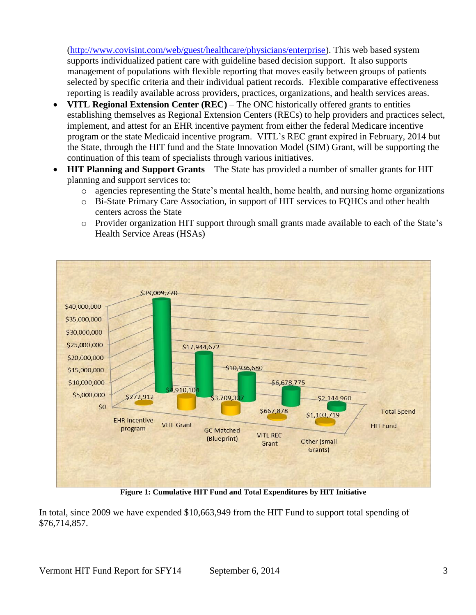[\(http://www.covisint.com/web/guest/healthcare/physicians/enterprise\)](http://www.covisint.com/web/guest/healthcare/physicians/enterprise). This web based system supports individualized patient care with guideline based decision support. It also supports management of populations with flexible reporting that moves easily between groups of patients selected by specific criteria and their individual patient records. Flexible comparative effectiveness reporting is readily available across providers, practices, organizations, and health services areas.

- **VITL Regional Extension Center (REC)** The ONC historically offered grants to entities establishing themselves as Regional Extension Centers (RECs) to help providers and practices select, implement, and attest for an EHR incentive payment from either the federal Medicare incentive program or the state Medicaid incentive program. VITL's REC grant expired in February, 2014 but the State, through the HIT fund and the State Innovation Model (SIM) Grant, will be supporting the continuation of this team of specialists through various initiatives.
- **HIT Planning and Support Grants** The State has provided a number of smaller grants for HIT planning and support services to:
	- o agencies representing the State's mental health, home health, and nursing home organizations
	- o Bi-State Primary Care Association, in support of HIT services to FQHCs and other health centers across the State
	- o Provider organization HIT support through small grants made available to each of the State's Health Service Areas (HSAs)



**Figure 1: Cumulative HIT Fund and Total Expenditures by HIT Initiative**

In total, since 2009 we have expended \$10,663,949 from the HIT Fund to support total spending of \$76,714,857.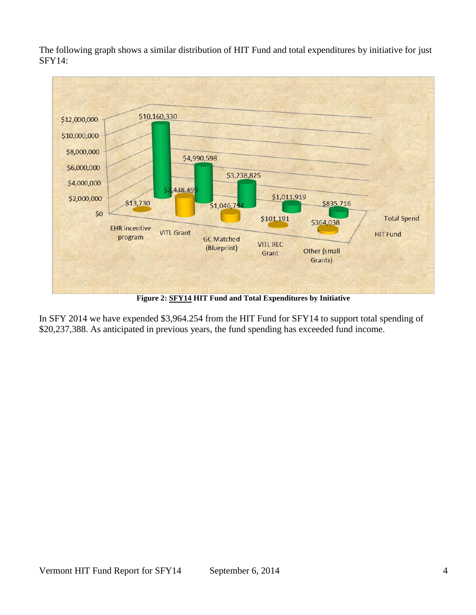The following graph shows a similar distribution of HIT Fund and total expenditures by initiative for just SFY14:



**Figure 2: SFY14 HIT Fund and Total Expenditures by Initiative**

In SFY 2014 we have expended \$3,964.254 from the HIT Fund for SFY14 to support total spending of \$20,237,388. As anticipated in previous years, the fund spending has exceeded fund income.